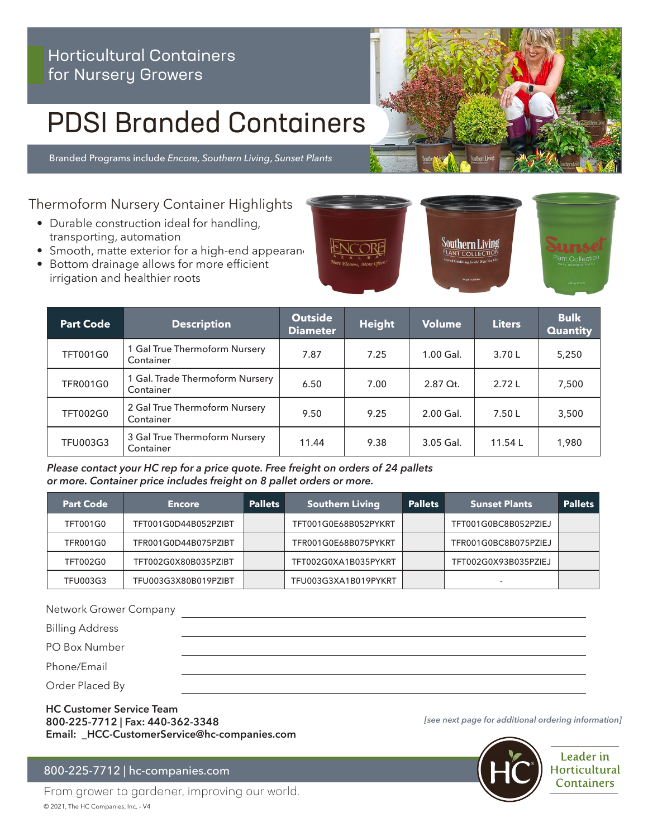# Horticultural Containers for Nursery Growers

# PDSI Branded Containers

Branded Programs include *Encore, Southern Living*, *Sunset Plants*

Thermoform Nursery Container Highlights

- Durable construction ideal for handling, transporting, automation
- $\bullet$  Smooth, matte exterior for a high-end appearand
- Bottom drainage allows for more efficient irrigation and healthier roots



*Please contact your HC rep for a price quote. Free freight on orders of 24 pallets or more. Container price includes freight on 8 pallet orders or more.*

| <b>Part Code</b> | <b>Encore</b>        | <b>Pallets</b> | <b>Southern Living</b> | <b>Pallets</b> | <b>Sunset Plants</b>     | <b>Pallets</b> |
|------------------|----------------------|----------------|------------------------|----------------|--------------------------|----------------|
| <b>TFT001G0</b>  | TFT001G0D44B052PZIBT |                | TFT001G0E68B052PYKRT   |                | TFT001G0BC8B052PZIEJ     |                |
| <b>TFR001G0</b>  | TFR001G0D44B075PZIBT |                | TFR001G0E68B075PYKRT   |                | TFR001G0BC8B075PZIEJ     |                |
| <b>TFT002G0</b>  | TFT002G0X80B035PZIBT |                | TFT002G0XA1B035PYKRT   |                | TFT002G0X93B035PZIEJ     |                |
| <b>TFU003G3</b>  | TFU003G3X80B019PZIBT |                | TFU003G3XA1B019PYKRT   |                | $\overline{\phantom{0}}$ |                |

Network Grower Company

Billing Address

PO Box Number

Phone/Email

Order Placed By

**HC Customer Service Team 800-225-7712 | Fax: 440-362-3348 Email: \_HCC-CustomerService@hc-companies.com**

### 800-225-7712 | hc-companies.com

From grower to gardener, improving our world. © 2021, The HC Companies, Inc. – V4

*[see next page for additional ordering information]*